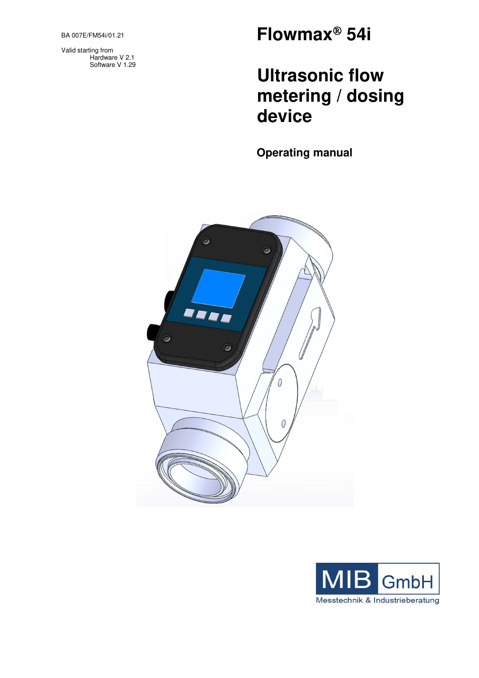BA 007E/FM54i/01.21

Valid starting from Hardware V 2.1 Software V 1.29

# **Flowmax 54i**

# **Ultrasonic flow metering / dosing device**

**Operating manual** 



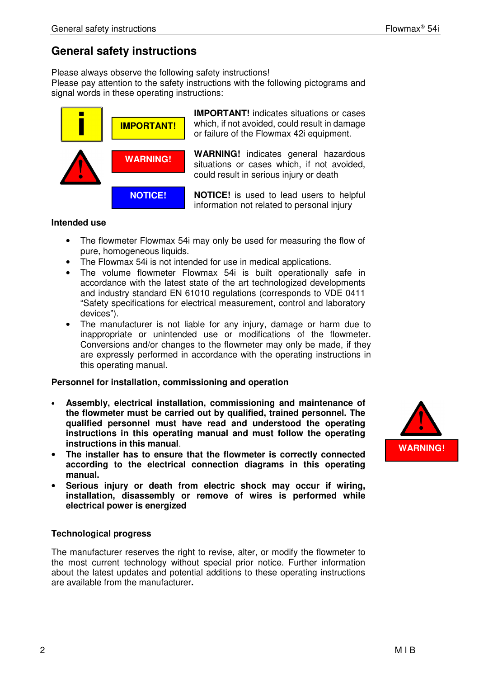# **General safety instructions**

Please always observe the following safety instructions!

Please pay attention to the safety instructions with the following pictograms and signal words in these operating instructions:



**IMPORTANT!** indicates situations or cases which, if not avoided, could result in damage or failure of the Flowmax 42i equipment.

**WARNING!** indicates general hazardous situations or cases which, if not avoided. could result in serious injury or death

**NOTICE!** is used to lead users to helpful information not related to personal injury

# **Intended use**

- The flowmeter Flowmax 54i may only be used for measuring the flow of pure, homogeneous liquids.
- The Flowmax 54i is not intended for use in medical applications.
- The volume flowmeter Flowmax 54i is built operationally safe in accordance with the latest state of the art technologized developments and industry standard EN 61010 regulations (corresponds to VDE 0411 "Safety specifications for electrical measurement, control and laboratory devices").
- The manufacturer is not liable for any injury, damage or harm due to inappropriate or unintended use or modifications of the flowmeter. Conversions and/or changes to the flowmeter may only be made, if they are expressly performed in accordance with the operating instructions in this operating manual.

# **Personnel for installation, commissioning and operation**

- **Assembly, electrical installation, commissioning and maintenance of the flowmeter must be carried out by qualified, trained personnel. The qualified personnel must have read and understood the operating instructions in this operating manual and must follow the operating instructions in this manual**.
- **The installer has to ensure that the flowmeter is correctly connected according to the electrical connection diagrams in this operating manual.**
- **Serious injury or death from electric shock may occur if wiring, installation, disassembly or remove of wires is performed while electrical power is energized**

# **Technological progress**

The manufacturer reserves the right to revise, alter, or modify the flowmeter to the most current technology without special prior notice. Further information about the latest updates and potential additions to these operating instructions are available from the manufacturer**.** 

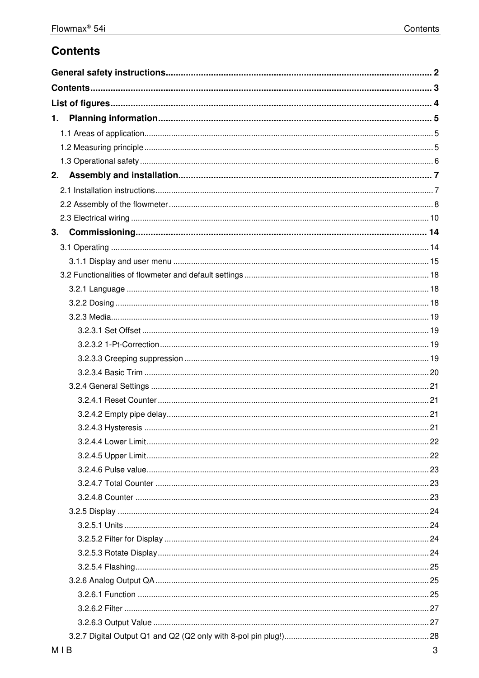# **Contents**

| 1.  |  |  |
|-----|--|--|
|     |  |  |
|     |  |  |
|     |  |  |
| 2.  |  |  |
|     |  |  |
|     |  |  |
|     |  |  |
| 3.  |  |  |
|     |  |  |
|     |  |  |
|     |  |  |
|     |  |  |
|     |  |  |
|     |  |  |
|     |  |  |
|     |  |  |
|     |  |  |
|     |  |  |
|     |  |  |
|     |  |  |
|     |  |  |
|     |  |  |
|     |  |  |
|     |  |  |
|     |  |  |
|     |  |  |
|     |  |  |
|     |  |  |
|     |  |  |
|     |  |  |
|     |  |  |
|     |  |  |
|     |  |  |
|     |  |  |
|     |  |  |
|     |  |  |
| MID |  |  |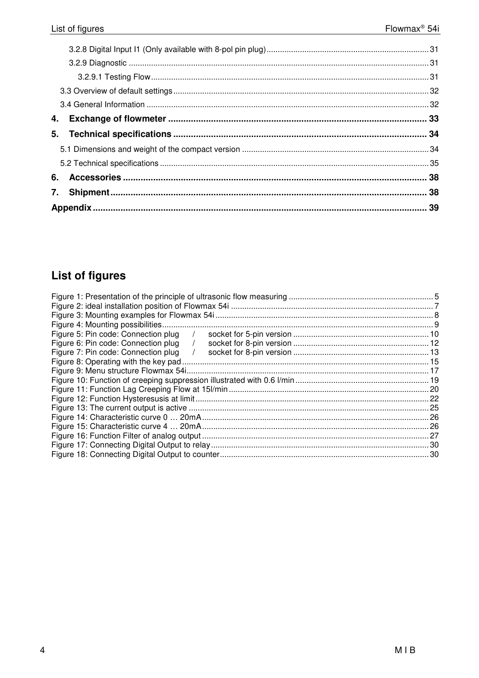| 4. |  |
|----|--|
|    |  |
|    |  |
|    |  |
|    |  |
|    |  |
|    |  |

# **List of figures**

| Figure 4: Mounting possibilities.     |      |
|---------------------------------------|------|
| Figure 5: Pin code: Connection plug   |      |
| Figure 6: Pin code: Connection plug   |      |
| Figure 7: Pin code: Connection plug   |      |
| Figure 8: Operating with the key pad. |      |
|                                       |      |
|                                       |      |
|                                       |      |
|                                       |      |
|                                       |      |
|                                       |      |
|                                       |      |
|                                       | . 27 |
|                                       | .30  |
|                                       | . 30 |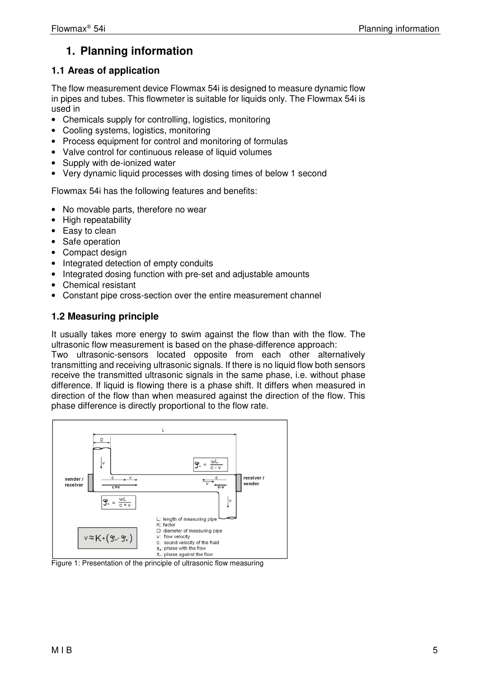# **1. Planning information**

# **1.1 Areas of application**

The flow measurement device Flowmax 54i is designed to measure dynamic flow in pipes and tubes. This flowmeter is suitable for liquids only. The Flowmax 54i is used in

- Chemicals supply for controlling, logistics, monitoring
- Cooling systems, logistics, monitoring
- Process equipment for control and monitoring of formulas
- Valve control for continuous release of liquid volumes
- Supply with de-ionized water
- Very dynamic liquid processes with dosing times of below 1 second

Flowmax 54i has the following features and benefits:

- No movable parts, therefore no wear
- High repeatability
- Easy to clean
- Safe operation
- Compact design
- Integrated detection of empty conduits
- Integrated dosing function with pre-set and adjustable amounts
- Chemical resistant
- Constant pipe cross-section over the entire measurement channel

# **1.2 Measuring principle**

It usually takes more energy to swim against the flow than with the flow. The ultrasonic flow measurement is based on the phase-difference approach:

Two ultrasonic-sensors located opposite from each other alternatively transmitting and receiving ultrasonic signals. If there is no liquid flow both sensors receive the transmitted ultrasonic signals in the same phase, i.e. without phase difference. If liquid is flowing there is a phase shift. It differs when measured in direction of the flow than when measured against the direction of the flow. This phase difference is directly proportional to the flow rate.



Figure 1: Presentation of the principle of ultrasonic flow measuring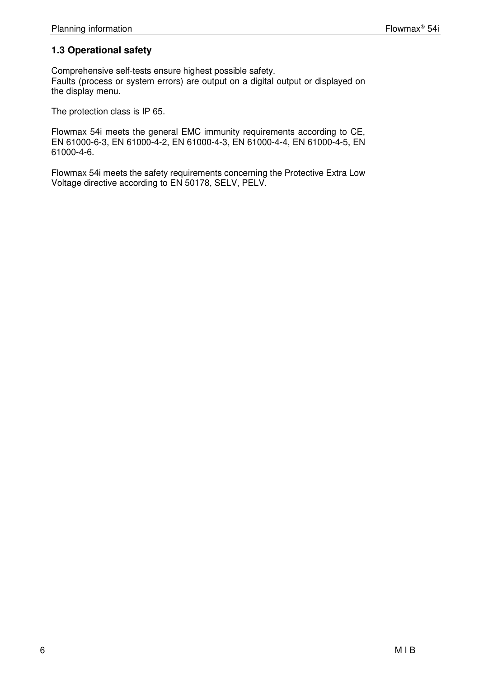# **1.3 Operational safety**

Comprehensive self-tests ensure highest possible safety. Faults (process or system errors) are output on a digital output or displayed on the display menu.

The protection class is IP 65.

Flowmax 54i meets the general EMC immunity requirements according to CE, EN 61000-6-3, EN 61000-4-2, EN 61000-4-3, EN 61000-4-4, EN 61000-4-5, EN 61000-4-6.

Flowmax 54i meets the safety requirements concerning the Protective Extra Low Voltage directive according to EN 50178, SELV, PELV.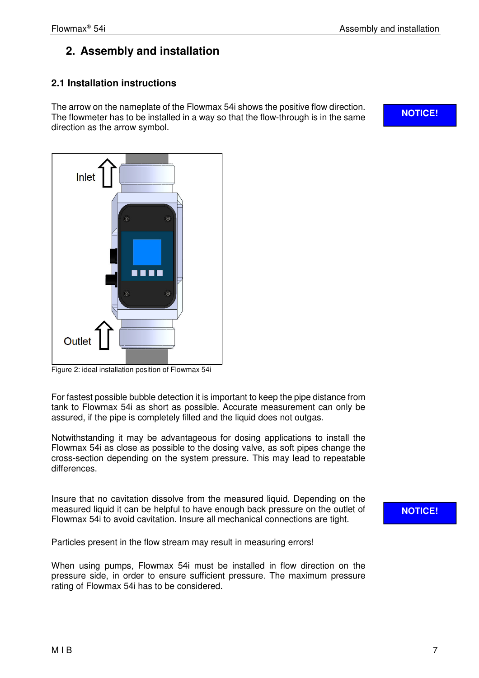# **2. Assembly and installation**

# **2.1 Installation instructions**

The arrow on the nameplate of the Flowmax 54i shows the positive flow direction. The flowmeter has to be installed in a way so that the flow-through is in the same direction as the arrow symbol.

**NOTICE!** 



Figure 2: ideal installation position of Flowmax 54i

For fastest possible bubble detection it is important to keep the pipe distance from tank to Flowmax 54i as short as possible. Accurate measurement can only be assured, if the pipe is completely filled and the liquid does not outgas.

Notwithstanding it may be advantageous for dosing applications to install the Flowmax 54i as close as possible to the dosing valve, as soft pipes change the cross-section depending on the system pressure. This may lead to repeatable differences.

Insure that no cavitation dissolve from the measured liquid. Depending on the measured liquid it can be helpful to have enough back pressure on the outlet of Flowmax 54i to avoid cavitation. Insure all mechanical connections are tight.

**NOTICE!** 

Particles present in the flow stream may result in measuring errors!

When using pumps, Flowmax 54i must be installed in flow direction on the pressure side, in order to ensure sufficient pressure. The maximum pressure rating of Flowmax 54i has to be considered.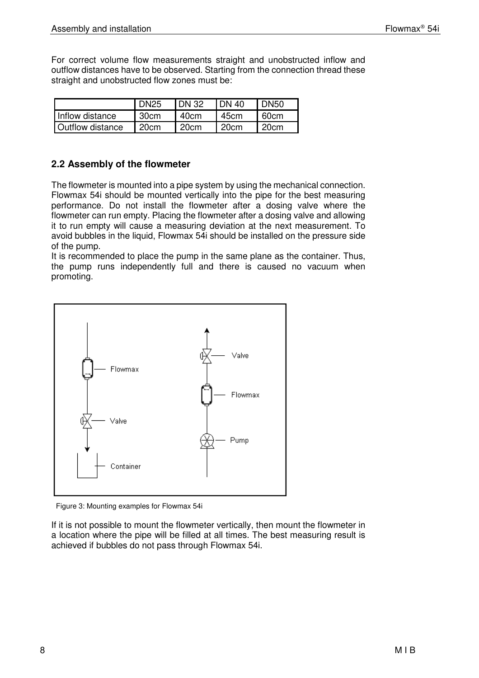For correct volume flow measurements straight and unobstructed inflow and outflow distances have to be observed. Starting from the connection thread these straight and unobstructed flow zones must be:

|                         | <b>DN25</b> | <b>IDN 32</b> | <b>IDN 40</b> | I DN50 |
|-------------------------|-------------|---------------|---------------|--------|
| I Inflow distance       | 30cm        | 40cm          | 45cm          | 60cm   |
| <b>Outflow distance</b> | 120cm       | 20cm          | .20cm         | 20cm   |

# **2.2 Assembly of the flowmeter**

The flowmeter is mounted into a pipe system by using the mechanical connection. Flowmax 54i should be mounted vertically into the pipe for the best measuring performance. Do not install the flowmeter after a dosing valve where the flowmeter can run empty. Placing the flowmeter after a dosing valve and allowing it to run empty will cause a measuring deviation at the next measurement. To avoid bubbles in the liquid, Flowmax 54i should be installed on the pressure side of the pump.

It is recommended to place the pump in the same plane as the container. Thus, the pump runs independently full and there is caused no vacuum when promoting.



Figure 3: Mounting examples for Flowmax 54i

If it is not possible to mount the flowmeter vertically, then mount the flowmeter in a location where the pipe will be filled at all times. The best measuring result is achieved if bubbles do not pass through Flowmax 54i.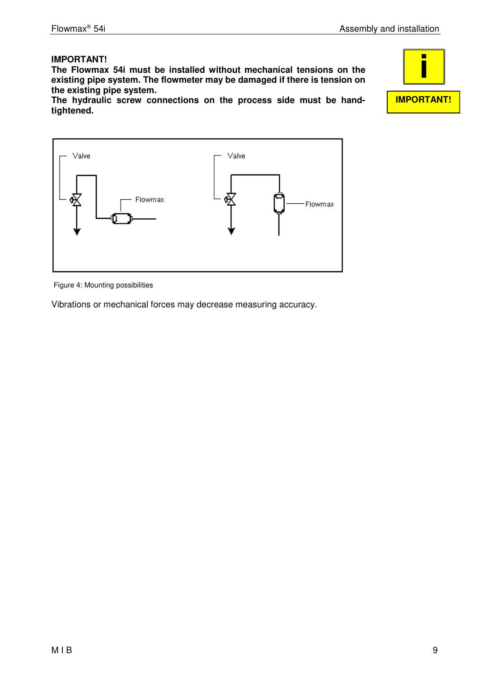# **IMPORTANT!**

**The Flowmax 54i must be installed without mechanical tensions on the existing pipe system. The flowmeter may be damaged if there is tension on the existing pipe system.** 

**The hydraulic screw connections on the process side must be handtightened.** 



Figure 4: Mounting possibilities

Vibrations or mechanical forces may decrease measuring accuracy.

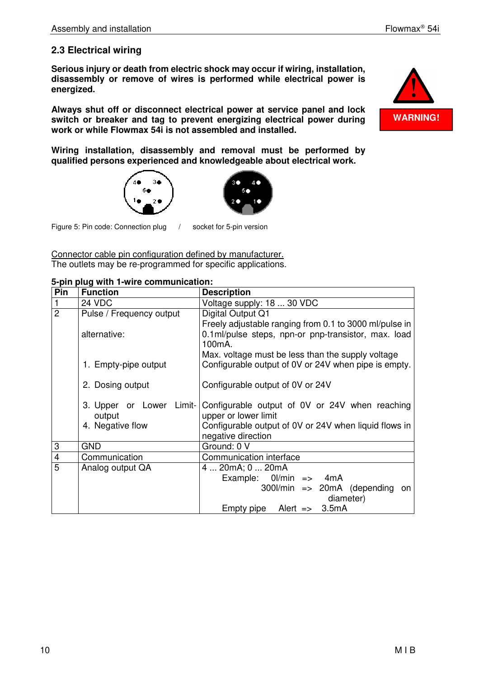# **2.3 Electrical wiring**

**Serious injury or death from electric shock may occur if wiring, installation, disassembly or remove of wires is performed while electrical power is energized.** 

**Always shut off or disconnect electrical power at service panel and lock switch or breaker and tag to prevent energizing electrical power during work or while Flowmax 54i is not assembled and installed.** 

**Wiring installation, disassembly and removal must be performed by qualified persons experienced and knowledgeable about electrical work.** 





 $\overline{a}$ Figure 5: Pin code: Connection plug / socket for 5-pin version

Connector cable pin configuration defined by manufacturer. The outlets may be re-programmed for specific applications.

**5-pin plug with 1-wire communication:** 

| Pin            | <b>Function</b>                                        | <b>Description</b>                                                                                                                                    |
|----------------|--------------------------------------------------------|-------------------------------------------------------------------------------------------------------------------------------------------------------|
| $\mathbf{1}$   | 24 VDC                                                 | Voltage supply: 18  30 VDC                                                                                                                            |
| $\overline{2}$ | Pulse / Frequency output                               | Digital Output Q1                                                                                                                                     |
|                | alternative:                                           | Freely adjustable ranging from 0.1 to 3000 ml/pulse in<br>0.1ml/pulse steps, npn-or pnp-transistor, max. load<br>100 <sub>m</sub> A.                  |
|                | 1. Empty-pipe output                                   | Max. voltage must be less than the supply voltage<br>Configurable output of 0V or 24V when pipe is empty.                                             |
|                | 2. Dosing output                                       | Configurable output of 0V or 24V                                                                                                                      |
|                | 3. Upper or Lower Limit-<br>output<br>4. Negative flow | Configurable output of 0V or 24V when reaching<br>upper or lower limit<br>Configurable output of 0V or 24V when liquid flows in<br>negative direction |
| 3              | <b>GND</b>                                             | Ground: 0 V                                                                                                                                           |
| $\overline{4}$ | Communication                                          | Communication interface                                                                                                                               |
| 5              | Analog output QA                                       | 4  20mA; 0  20mA<br>Example: $0$ //min =><br>4mA<br>$300$ l/min => $20mA$ (depending on<br>diameter)<br>Empty pipe Alert $\Rightarrow$ 3.5mA          |

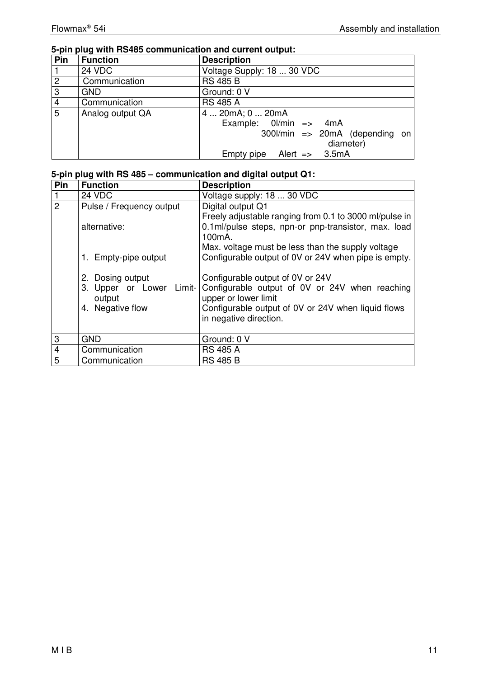# **5-pin plug with RS485 communication and current output:**

| Pin            | <b>Function</b>  | <b>Description</b>                      |
|----------------|------------------|-----------------------------------------|
|                | <b>24 VDC</b>    | Voltage Supply: 18  30 VDC              |
| $\overline{2}$ | Communication    | <b>RS 485 B</b>                         |
| $\overline{3}$ | <b>GND</b>       | Ground: 0 V                             |
| $\overline{4}$ | Communication    | <b>RS 485 A</b>                         |
| $\overline{5}$ | Analog output QA | 4  20mA; 0  20mA                        |
|                |                  | Example: $0$ /min => $4mA$              |
|                |                  | $300$ l/min => $20mA$ (depending on     |
|                |                  | diameter)                               |
|                |                  | Empty pipe<br>Alert $\Rightarrow$ 3.5mA |

# **5-pin plug with RS 485 – communication and digital output Q1:**

| Pin            | <b>Function</b>                                                                                                                                | <b>Description</b>                                                                                                                                                                                                                                                                                                                                                                                                                         |
|----------------|------------------------------------------------------------------------------------------------------------------------------------------------|--------------------------------------------------------------------------------------------------------------------------------------------------------------------------------------------------------------------------------------------------------------------------------------------------------------------------------------------------------------------------------------------------------------------------------------------|
|                | 24 VDC                                                                                                                                         | Voltage supply: 18  30 VDC                                                                                                                                                                                                                                                                                                                                                                                                                 |
| $\overline{2}$ | Pulse / Frequency output<br>alternative:<br>1. Empty-pipe output<br>2. Dosing output<br>3. Upper or Lower Limit-<br>output<br>4. Negative flow | Digital output Q1<br>Freely adjustable ranging from 0.1 to 3000 ml/pulse in<br>0.1ml/pulse steps, npn-or pnp-transistor, max. load<br>100 <sub>m</sub> A.<br>Max. voltage must be less than the supply voltage<br>Configurable output of 0V or 24V when pipe is empty.<br>Configurable output of 0V or 24V<br>Configurable output of 0V or 24V when reaching<br>upper or lower limit<br>Configurable output of 0V or 24V when liquid flows |
|                |                                                                                                                                                | in negative direction.                                                                                                                                                                                                                                                                                                                                                                                                                     |
| 3              | <b>GND</b>                                                                                                                                     | Ground: 0 V                                                                                                                                                                                                                                                                                                                                                                                                                                |
| $\overline{4}$ | Communication                                                                                                                                  | <b>RS 485 A</b>                                                                                                                                                                                                                                                                                                                                                                                                                            |
| $\overline{5}$ | Communication                                                                                                                                  | <b>RS 485 B</b>                                                                                                                                                                                                                                                                                                                                                                                                                            |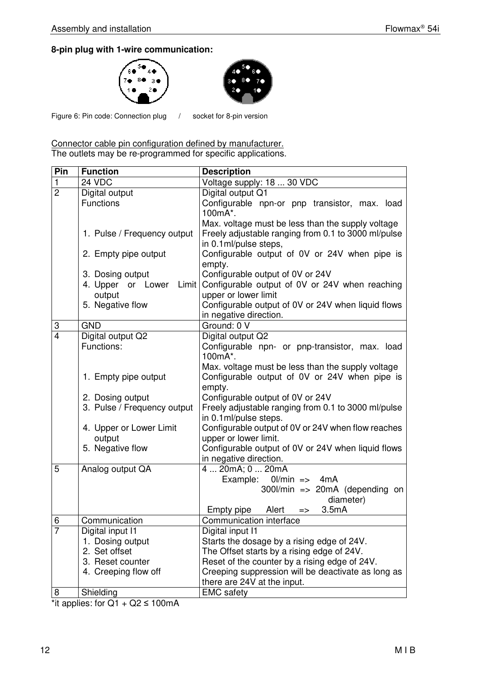# **8-pin plug with 1-wire communication:**





 $\overline{a}$ Figure 6: Pin code: Connection plug / socket for 8-pin version

Connector cable pin configuration defined by manufacturer. The outlets may be re-programmed for specific applications.

| Pin            | <b>Function</b>             | <b>Description</b>                                                           |
|----------------|-----------------------------|------------------------------------------------------------------------------|
| 1              | 24 VDC                      | Voltage supply: 18  30 VDC                                                   |
| $\overline{2}$ | Digital output              | Digital output Q1                                                            |
|                | <b>Functions</b>            | Configurable npn-or pnp transistor, max. load<br>100mA*.                     |
|                |                             | Max. voltage must be less than the supply voltage                            |
|                | 1. Pulse / Frequency output | Freely adjustable ranging from 0.1 to 3000 ml/pulse<br>in 0.1ml/pulse steps, |
|                | 2. Empty pipe output        | Configurable output of 0V or 24V when pipe is                                |
|                |                             | empty.                                                                       |
|                | 3. Dosing output            | Configurable output of 0V or 24V                                             |
|                | 4. Upper or Lower<br>Limit  | Configurable output of 0V or 24V when reaching                               |
|                | output<br>5. Negative flow  | upper or lower limit<br>Configurable output of 0V or 24V when liquid flows   |
|                |                             | in negative direction.                                                       |
| 3              | <b>GND</b>                  | Ground: 0 V                                                                  |
| $\overline{4}$ | Digital output Q2           | Digital output Q2                                                            |
|                | Functions:                  | Configurable npn- or pnp-transistor, max. load                               |
|                |                             | 100mA*.                                                                      |
|                |                             | Max. voltage must be less than the supply voltage                            |
|                | 1. Empty pipe output        | Configurable output of 0V or 24V when pipe is                                |
|                | 2. Dosing output            | empty.<br>Configurable output of 0V or 24V                                   |
|                | 3. Pulse / Frequency output | Freely adjustable ranging from 0.1 to 3000 ml/pulse                          |
|                |                             | in 0.1ml/pulse steps.                                                        |
|                | 4. Upper or Lower Limit     | Configurable output of 0V or 24V when flow reaches                           |
|                | output                      | upper or lower limit.                                                        |
|                | 5. Negative flow            | Configurable output of 0V or 24V when liquid flows                           |
|                |                             | in negative direction.                                                       |
| 5              | Analog output QA            | 4  20mA; 0  20mA<br>Example: 0l/min => 4mA                                   |
|                |                             | $300$ l/min => $20mA$ (depending on                                          |
|                |                             | diameter)                                                                    |
|                |                             | Alert<br>3.5mA<br>Empty pipe<br>$\Rightarrow$                                |
| 6              | Communication               | Communication interface                                                      |
| $\overline{7}$ | Digital input I1            | Digital input I1                                                             |
|                | 1. Dosing output            | Starts the dosage by a rising edge of 24V.                                   |
|                | 2. Set offset               | The Offset starts by a rising edge of 24V.                                   |
|                | 3. Reset counter            | Reset of the counter by a rising edge of 24V.                                |
|                | 4. Creeping flow off        | Creeping suppression will be deactivate as long as                           |
|                |                             | there are 24V at the input.                                                  |
| 8              | Shielding                   | <b>EMC</b> safety                                                            |

\*it applies: for  $Q1 + Q2 \le 100 \text{mA}$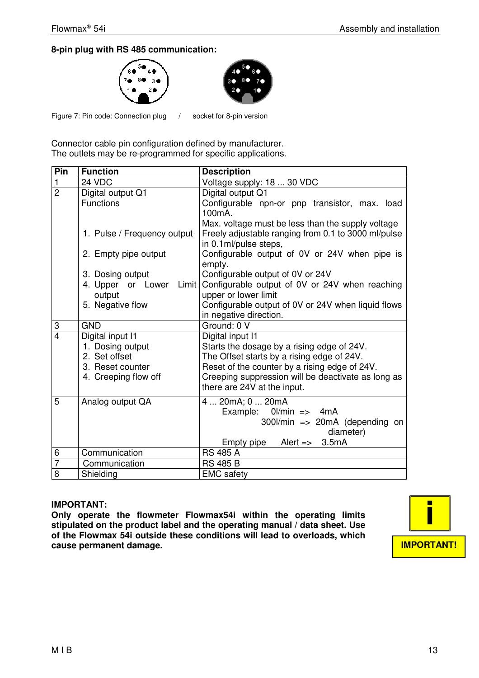# **8-pin plug with RS 485 communication:**





 $\overline{a}$ Figure 7: Pin code: Connection plug / socket for 8-pin version

Connector cable pin configuration defined by manufacturer. The outlets may be re-programmed for specific applications.

| Pin                 | <b>Function</b>             | <b>Description</b>                                                                |
|---------------------|-----------------------------|-----------------------------------------------------------------------------------|
| $\overline{1}$      | 24 VDC                      | Voltage supply: 18  30 VDC                                                        |
| $\overline{2}$      | Digital output Q1           | Digital output Q1                                                                 |
|                     | <b>Functions</b>            | Configurable npn-or pnp transistor, max. load                                     |
|                     |                             | 100mA.                                                                            |
|                     |                             | Max. voltage must be less than the supply voltage                                 |
|                     | 1. Pulse / Frequency output | Freely adjustable ranging from 0.1 to 3000 ml/pulse                               |
|                     |                             | in 0.1ml/pulse steps,                                                             |
|                     | 2. Empty pipe output        | Configurable output of 0V or 24V when pipe is                                     |
|                     |                             | empty.                                                                            |
|                     | 3. Dosing output            | Configurable output of 0V or 24V                                                  |
|                     | 4. Upper or Lower<br>Limit  | Configurable output of 0V or 24V when reaching                                    |
|                     | output                      | upper or lower limit                                                              |
|                     | 5. Negative flow            | Configurable output of 0V or 24V when liquid flows                                |
|                     |                             | in negative direction.                                                            |
| 3<br>$\overline{4}$ | GND                         | Ground: 0 V                                                                       |
|                     | Digital input I1            | Digital input I1                                                                  |
|                     | 1. Dosing output            | Starts the dosage by a rising edge of 24V.                                        |
|                     | 2. Set offset               | The Offset starts by a rising edge of 24V.                                        |
|                     | 3. Reset counter            | Reset of the counter by a rising edge of 24V.                                     |
|                     | 4. Creeping flow off        | Creeping suppression will be deactivate as long as<br>there are 24V at the input. |
|                     |                             |                                                                                   |
| 5                   | Analog output QA            | 4  20mA; 0  20mA                                                                  |
|                     |                             | Example: $0$ l/min => $4mA$                                                       |
|                     |                             | $300$ l/min => $20$ mA (depending on                                              |
|                     |                             | diameter)                                                                         |
|                     |                             | Empty pipe<br>Alert $\approx$ 3.5mA                                               |
| 6                   | Communication               | <b>RS 485 A</b>                                                                   |
| $\overline{7}$      | Communication               | <b>RS 485 B</b>                                                                   |
| $\overline{8}$      | Shielding                   | <b>EMC</b> safety                                                                 |

#### **IMPORTANT:**

**Only operate the flowmeter Flowmax54i within the operating limits stipulated on the product label and the operating manual / data sheet. Use of the Flowmax 54i outside these conditions will lead to overloads, which cause permanent damage.** 

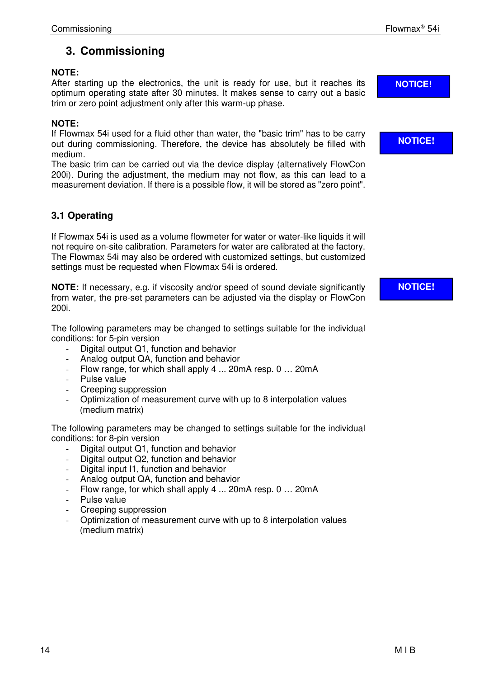# **3. Commissioning**

# **NOTE:**

After starting up the electronics, the unit is ready for use, but it reaches its optimum operating state after 30 minutes. It makes sense to carry out a basic trim or zero point adjustment only after this warm-up phase.

# **NOTE:**

If Flowmax 54i used for a fluid other than water, the "basic trim" has to be carry out during commissioning. Therefore, the device has absolutely be filled with medium.

The basic trim can be carried out via the device display (alternatively FlowCon 200i). During the adjustment, the medium may not flow, as this can lead to a measurement deviation. If there is a possible flow, it will be stored as "zero point".

# **3.1 Operating**

If Flowmax 54i is used as a volume flowmeter for water or water-like liquids it will not require on-site calibration. Parameters for water are calibrated at the factory. The Flowmax 54i may also be ordered with customized settings, but customized settings must be requested when Flowmax 54i is ordered.

**NOTE:** If necessary, e.g. if viscosity and/or speed of sound deviate significantly from water, the pre-set parameters can be adjusted via the display or FlowCon 200i.

The following parameters may be changed to settings suitable for the individual conditions: for 5-pin version

- Digital output Q1, function and behavior
- Analog output QA, function and behavior
- Flow range, for which shall apply 4 ... 20mA resp. 0 ... 20mA
- Pulse value
- Creeping suppression
- Optimization of measurement curve with up to 8 interpolation values (medium matrix)

The following parameters may be changed to settings suitable for the individual conditions: for 8-pin version

- Digital output Q1, function and behavior
- Digital output Q2, function and behavior
- Digital input I1, function and behavior
- Analog output QA, function and behavior
- Flow range, for which shall apply 4 ... 20mA resp. 0 ... 20mA
- Pulse value
- Creeping suppression
- Optimization of measurement curve with up to 8 interpolation values (medium matrix)

**NOTICE!** 

**NOTICE!** 

**NOTICE!**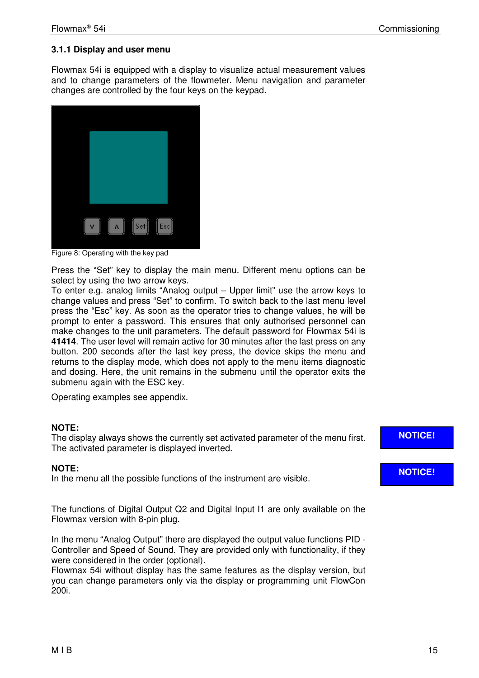# **3.1.1 Display and user menu**

Flowmax 54i is equipped with a display to visualize actual measurement values and to change parameters of the flowmeter. Menu navigation and parameter changes are controlled by the four keys on the keypad.



Figure 8: Operating with the key pad

Press the "Set" key to display the main menu. Different menu options can be select by using the two arrow keys.

To enter e.g. analog limits "Analog output – Upper limit" use the arrow keys to change values and press "Set" to confirm. To switch back to the last menu level press the "Esc" key. As soon as the operator tries to change values, he will be prompt to enter a password. This ensures that only authorised personnel can make changes to the unit parameters. The default password for Flowmax 54i is **41414**. The user level will remain active for 30 minutes after the last press on any button. 200 seconds after the last key press, the device skips the menu and returns to the display mode, which does not apply to the menu items diagnostic and dosing. Here, the unit remains in the submenu until the operator exits the submenu again with the ESC key.

Operating examples see appendix.

#### **NOTE:**

The display always shows the currently set activated parameter of the menu first. The activated parameter is displayed inverted.

# **NOTE:**

In the menu all the possible functions of the instrument are visible.

The functions of Digital Output Q2 and Digital Input I1 are only available on the Flowmax version with 8-pin plug.

In the menu "Analog Output" there are displayed the output value functions PID - Controller and Speed of Sound. They are provided only with functionality, if they were considered in the order (optional).

Flowmax 54i without display has the same features as the display version, but you can change parameters only via the display or programming unit FlowCon 200i.

# **NOTICE!**

# **NOTICE!**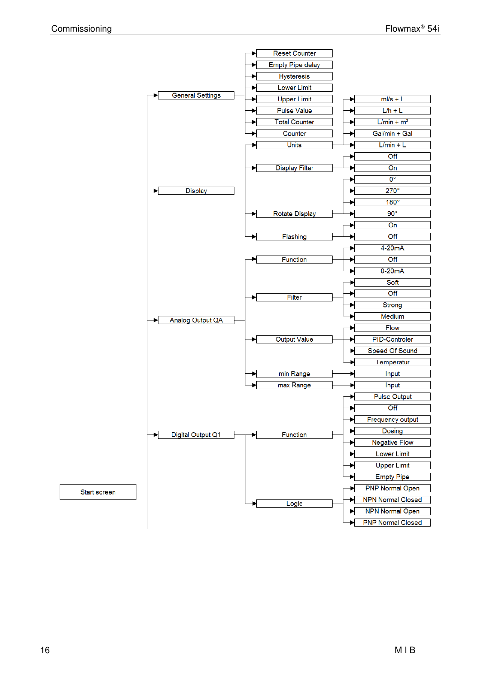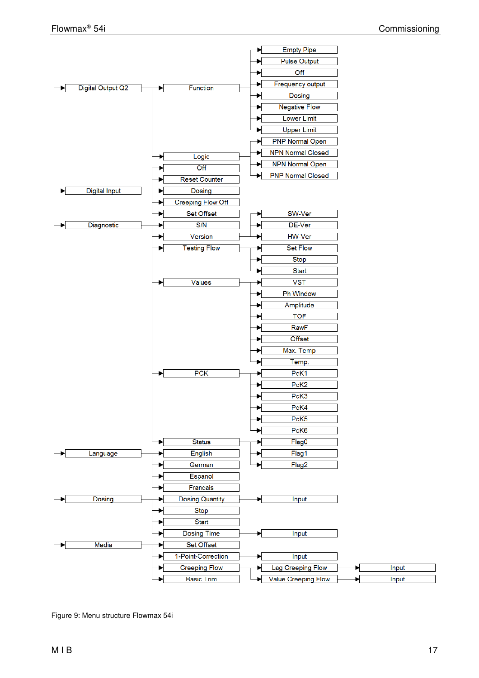

Figure 9: Menu structure Flowmax 54i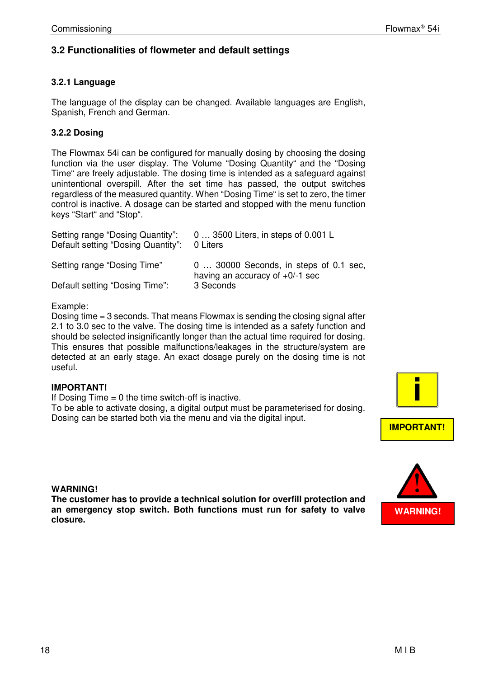# **3.2 Functionalities of flowmeter and default settings**

## **3.2.1 Language**

The language of the display can be changed. Available languages are English, Spanish, French and German.

# **3.2.2 Dosing**

The Flowmax 54i can be configured for manually dosing by choosing the dosing function via the user display. The Volume "Dosing Quantity" and the "Dosing Time" are freely adjustable. The dosing time is intended as a safeguard against unintentional overspill. After the set time has passed, the output switches regardless of the measured quantity. When "Dosing Time" is set to zero, the timer control is inactive. A dosage can be started and stopped with the menu function keys "Start" and "Stop".

| Setting range "Dosing Quantity":<br>Default setting "Dosing Quantity": | 0  3500 Liters, in steps of 0.001 L<br>0 Liters                              |
|------------------------------------------------------------------------|------------------------------------------------------------------------------|
| Setting range "Dosing Time"                                            | 0  30000 Seconds, in steps of 0.1 sec,<br>having an accuracy of $+0$ /-1 sec |
| Default setting "Dosing Time":                                         | 3 Seconds                                                                    |

#### Example:

Dosing time = 3 seconds. That means Flowmax is sending the closing signal after 2.1 to 3.0 sec to the valve. The dosing time is intended as a safety function and should be selected insignificantly longer than the actual time required for dosing. This ensures that possible malfunctions/leakages in the structure/system are detected at an early stage. An exact dosage purely on the dosing time is not useful.

#### **IMPORTANT!**

If Dosing Time  $= 0$  the time switch-off is inactive.

To be able to activate dosing, a digital output must be parameterised for dosing. Dosing can be started both via the menu and via the digital input.



#### **WARNING!**

**The customer has to provide a technical solution for overfill protection and an emergency stop switch. Both functions must run for safety to valve closure.**

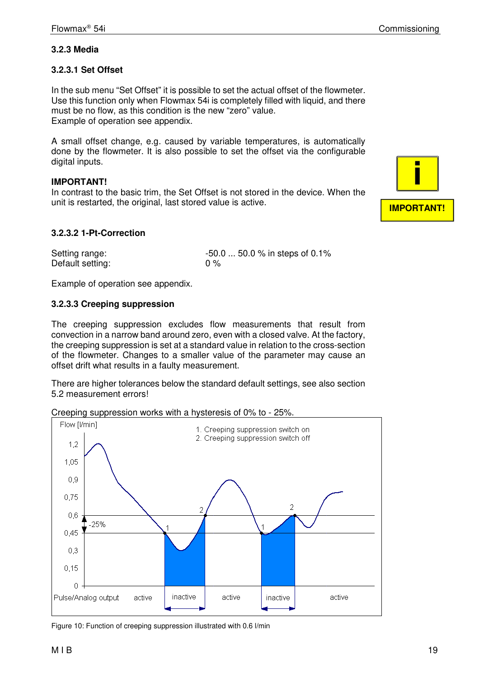# **3.2.3 Media**

## **3.2.3.1 Set Offset**

In the sub menu "Set Offset" it is possible to set the actual offset of the flowmeter. Use this function only when Flowmax 54i is completely filled with liquid, and there must be no flow, as this condition is the new "zero" value. Example of operation see appendix.

A small offset change, e.g. caused by variable temperatures, is automatically done by the flowmeter. It is also possible to set the offset via the configurable digital inputs.

#### **IMPORTANT!**

In contrast to the basic trim, the Set Offset is not stored in the device. When the unit is restarted, the original, last stored value is active.

#### **3.2.3.2 1-Pt-Correction**

Default setting: 0 %

Setting range:  $-50.0$  ... 50.0 % in steps of 0.1%

Example of operation see appendix.

#### **3.2.3.3 Creeping suppression**

The creeping suppression excludes flow measurements that result from convection in a narrow band around zero, even with a closed valve. At the factory, the creeping suppression is set at a standard value in relation to the cross-section of the flowmeter. Changes to a smaller value of the parameter may cause an offset drift what results in a faulty measurement.

There are higher tolerances below the standard default settings, see also section 5.2 measurement errors!

Creeping suppression works with a hysteresis of 0% to - 25%.



Figure 10: Function of creeping suppression illustrated with 0.6 l/min

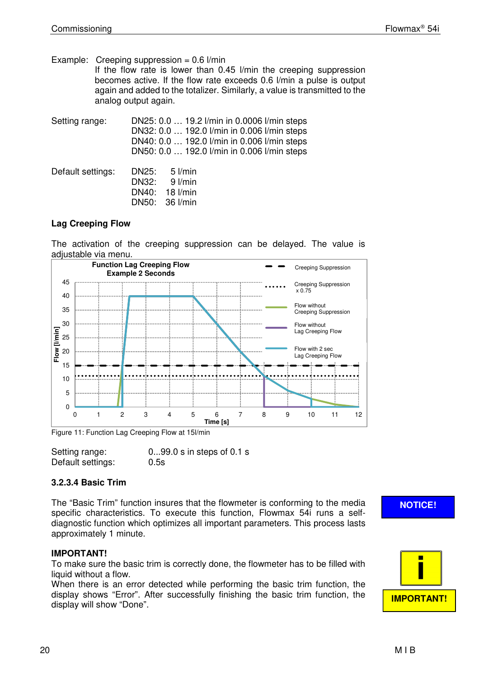Example: Creeping suppression =  $0.6$  l/min

If the flow rate is lower than 0.45 l/min the creeping suppression becomes active. If the flow rate exceeds 0.6 l/min a pulse is output again and added to the totalizer. Similarly, a value is transmitted to the analog output again.

| Setting range:    | DN25: 0.0  19.2 l/min in 0.0006 l/min steps<br>DN32: 0.0  192.0 l/min in 0.006 l/min steps<br>DN40: 0.0  192.0 l/min in 0.006 l/min steps<br>DN50: 0.0  192.0 l/min in 0.006 l/min steps |  |
|-------------------|------------------------------------------------------------------------------------------------------------------------------------------------------------------------------------------|--|
| Default settings: | DN25:<br>5 l/min<br>DN32: 9 l/min<br>DN40: 18 l/min<br>DN50: 36 l/min                                                                                                                    |  |

## **Lag Creeping Flow**

The activation of the creeping suppression can be delayed. The value is adjustable via menu.



Figure 11: Function Lag Creeping Flow at 15l/min

| Setting range:    | $099.0 s$ in steps of 0.1 s |
|-------------------|-----------------------------|
| Default settings: | 0.5s                        |

# **3.2.3.4 Basic Trim**

The "Basic Trim" function insures that the flowmeter is conforming to the media specific characteristics. To execute this function, Flowmax 54i runs a selfdiagnostic function which optimizes all important parameters. This process lasts approximately 1 minute.

# **IMPORTANT!**

To make sure the basic trim is correctly done, the flowmeter has to be filled with liquid without a flow.

When there is an error detected while performing the basic trim function, the display shows "Error". After successfully finishing the basic trim function, the display will show "Done".

# **NOTICE!**

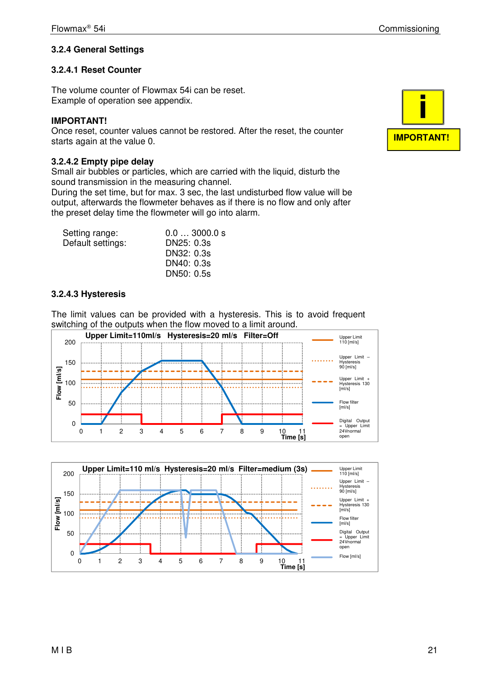# **3.2.4 General Settings**

## **3.2.4.1 Reset Counter**

The volume counter of Flowmax 54i can be reset. Example of operation see appendix.

#### **IMPORTANT!**

Once reset, counter values cannot be restored. After the reset, the counter starts again at the value 0.

#### **3.2.4.2 Empty pipe delay**

Small air bubbles or particles, which are carried with the liquid, disturb the sound transmission in the measuring channel.

During the set time, but for max. 3 sec, the last undisturbed flow value will be output, afterwards the flowmeter behaves as if there is no flow and only after the preset delay time the flowmeter will go into alarm.

| Setting range:    | 0.03000.0 s |
|-------------------|-------------|
| Default settings: | DN25: 0.3s  |
|                   | DN32: 0.3s  |
|                   | DN40: 0.3s  |
|                   | DN50: 0.5s  |

## **3.2.4.3 Hysteresis**

The limit values can be provided with a hysteresis. This is to avoid frequent switching of the outputs when the flow moved to a limit around.





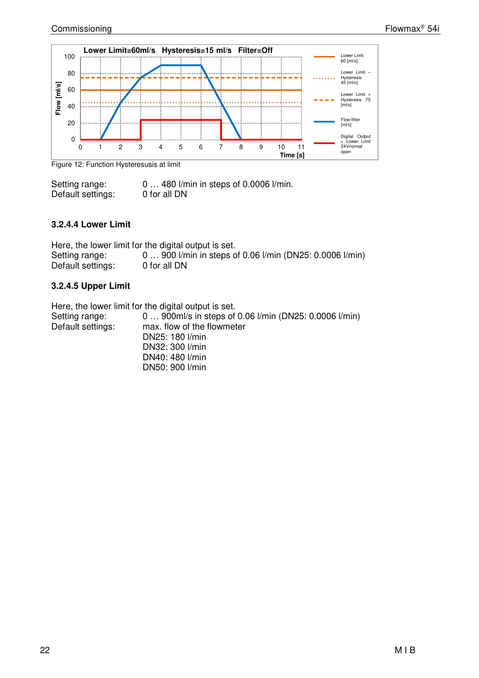

Figure 12: Function Hysteresusis at limit

Setting range: 0 ... 480 l/min in steps of 0.0006 l/min. Default settings: 0 for all DN

#### **3.2.4.4 Lower Limit**

Here, the lower limit for the digital output is set. Setting range: 0 ... 900 l/min in steps of 0.06 l/min (DN25: 0.0006 l/min)<br>Default settings: 0 for all DN Default settings:

## **3.2.4.5 Upper Limit**

Here, the lower limit for the digital output is set.

| Setting range:<br>Default settings: | 0  900ml/s in steps of 0.06 l/min (DN25: 0.0006 l/min)<br>max. flow of the flowmeter<br>DN25: 180 l/min |
|-------------------------------------|---------------------------------------------------------------------------------------------------------|
|                                     | DN32: 300 l/min                                                                                         |
|                                     | DN40: 480 l/min                                                                                         |
|                                     | DN50: 900 l/min                                                                                         |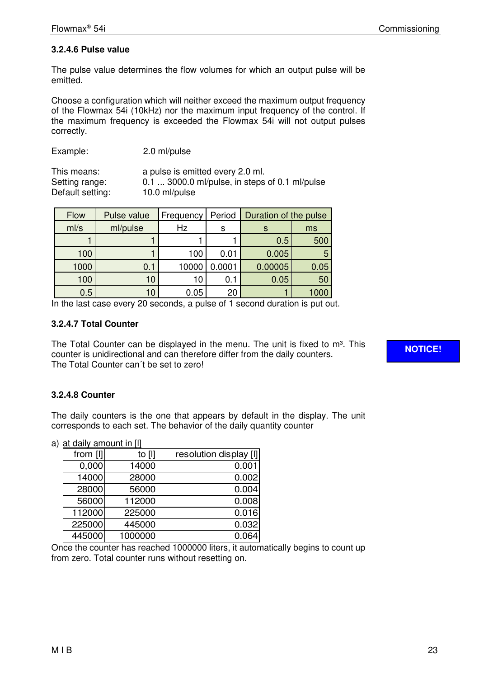# **3.2.4.6 Pulse value**

The pulse value determines the flow volumes for which an output pulse will be emitted.

Choose a configuration which will neither exceed the maximum output frequency of the Flowmax 54i (10kHz) nor the maximum input frequency of the control. If the maximum frequency is exceeded the Flowmax 54i will not output pulses correctly.

| Example: | 2.0 ml/pulse |
|----------|--------------|
|----------|--------------|

This means: a pulse is emitted every 2.0 ml. Setting range:  $0.\overline{1}$  ... 3000.0 ml/pulse, in steps of 0.1 ml/pulse<br>Default setting: 10.0 ml/pulse Default setting:

| Flow | Pulse value | Frequency | Period | Duration of the pulse |      |
|------|-------------|-----------|--------|-----------------------|------|
| ml/s | ml/pulse    | Hz        | s      |                       | ms   |
|      |             |           |        | 0.5                   | 500  |
| 100  |             | 100       | 0.01   | 0.005                 |      |
| 1000 | 0.1         | 10000     | 0.0001 | 0.00005               | 0.05 |
| 100  | 10          | 10        | 0.1    | 0.05                  | 50   |
| 0.5  | 10          | 0.05      | 20     |                       |      |

In the last case every 20 seconds, a pulse of 1 second duration is put out.

# **3.2.4.7 Total Counter**

The Total Counter can be displayed in the menu. The unit is fixed to  $m^3$ . This counter is unidirectional and can therefore differ from the daily counters. The Total Counter can´t be set to zero!

**NOTICE!** 

# **3.2.4.8 Counter**

The daily counters is the one that appears by default in the display. The unit corresponds to each set. The behavior of the daily quantity counter

|  | a) at daily amount in [I] |  |
|--|---------------------------|--|
|  |                           |  |

| from [I] | to $[1]$ | resolution display [I] |  |  |
|----------|----------|------------------------|--|--|
| 0,000    | 14000    | 0.001                  |  |  |
| 14000    | 28000    | 0.002                  |  |  |
| 28000    | 56000    | 0.004                  |  |  |
| 56000    | 112000   | 0.008                  |  |  |
| 112000   | 225000   | 0.016                  |  |  |
| 225000   | 445000   | 0.032                  |  |  |
| 445000   | 1000000  | 0.064                  |  |  |

Once the counter has reached 1000000 liters, it automatically begins to count up from zero. Total counter runs without resetting on.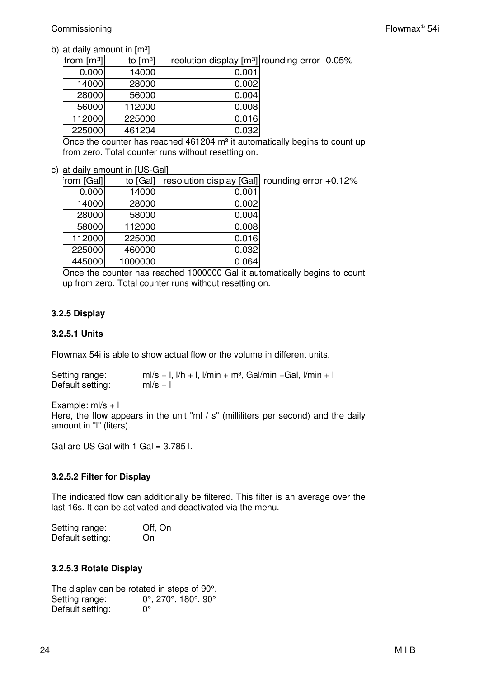#### b) at daily amount in  $[m<sup>3</sup>]$

| reolution display [m <sup>3</sup> ] rounding error -0.05% |       | to $\left[\text{m}^3\right]$ | from $\lfloor m^3 \rfloor$ |
|-----------------------------------------------------------|-------|------------------------------|----------------------------|
|                                                           | 0.001 | 14000                        | 0.000                      |
|                                                           | 0.002 | 28000                        | 14000                      |
|                                                           | 0.004 | 56000                        | 28000                      |
|                                                           | 0.008 | 112000                       | 56000                      |
|                                                           | 0.016 | 225000                       | 112000                     |
|                                                           | 0.032 | 461204                       | 225000                     |

Once the counter has reached  $461204$  m<sup>3</sup> it automatically begins to count up from zero. Total counter runs without resetting on.

c) at daily amount in [US-Gal]

| rom [Gal] | to [Gal] |       | resolution display [Gal] rounding error +0.12% |
|-----------|----------|-------|------------------------------------------------|
| 0.000     | 14000    | 0.001 |                                                |
| 14000     | 28000    | 0.002 |                                                |
| 28000     | 58000    | 0.004 |                                                |
| 58000     | 112000   | 0.008 |                                                |
| 112000    | 225000   | 0.016 |                                                |
| 225000    | 460000   | 0.032 |                                                |
| 445000    | 1000000  | 0.064 |                                                |

Once the counter has reached 1000000 Gal it automatically begins to count up from zero. Total counter runs without resetting on.

## **3.2.5 Display**

#### **3.2.5.1 Units**

Flowmax 54i is able to show actual flow or the volume in different units.

| Setting range:   | $m/s + 1$ , $1/h + 1$ , $1/min + m3$ , Gal/min + Gal, $1/min + 1$ |
|------------------|-------------------------------------------------------------------|
| Default setting: | $ml/s + l$                                                        |

Example:  $ml/s + l$ Here, the flow appears in the unit "ml / s" (milliliters per second) and the daily amount in "l" (liters).

Gal are US Gal with  $1$  Gal = 3.785 l.

# **3.2.5.2 Filter for Display**

The indicated flow can additionally be filtered. This filter is an average over the last 16s. It can be activated and deactivated via the menu.

| Setting range:   | Off, On |
|------------------|---------|
| Default setting: | On      |

# **3.2.5.3 Rotate Display**

The display can be rotated in steps of 90°. Setting range: 0°, 270°, 180°, 90°<br>Default setting: 0° Default setting: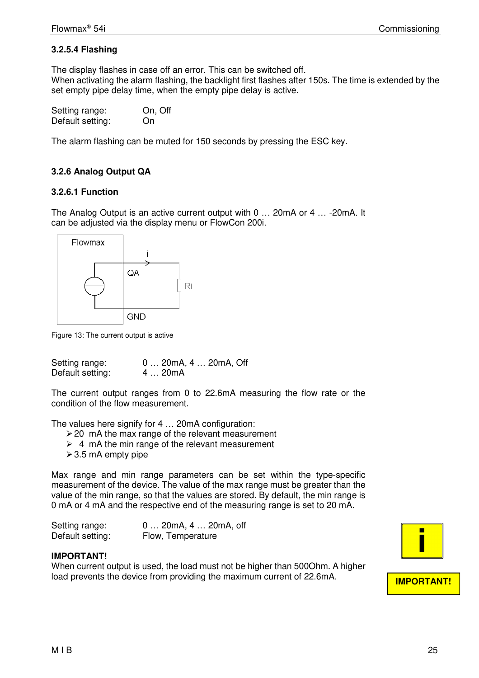# **3.2.5.4 Flashing**

The display flashes in case off an error. This can be switched off. When activating the alarm flashing, the backlight first flashes after 150s. The time is extended by the set empty pipe delay time, when the empty pipe delay is active.

| Setting range:   | On, Off |
|------------------|---------|
| Default setting: | On      |

The alarm flashing can be muted for 150 seconds by pressing the ESC key.

# **3.2.6 Analog Output QA**

## **3.2.6.1 Function**

The Analog Output is an active current output with 0 … 20mA or 4 … -20mA. It can be adjusted via the display menu or FlowCon 200i.



Figure 13: The current output is active

| Setting range:   | 0  20mA, 4  20mA, Off |
|------------------|-----------------------|
| Default setting: | 4  20mA               |

The current output ranges from 0 to 22.6mA measuring the flow rate or the condition of the flow measurement.

The values here signify for 4 … 20mA configuration:

- $\geq$  20 mA the max range of the relevant measurement
- $\geq 4$  mA the min range of the relevant measurement
- $>$  3.5 mA empty pipe

Max range and min range parameters can be set within the type-specific measurement of the device. The value of the max range must be greater than the value of the min range, so that the values are stored. By default, the min range is 0 mA or 4 mA and the respective end of the measuring range is set to 20 mA.

| Setting range:   | $0$ 20mA, 4 $$ 20mA, off |
|------------------|--------------------------|
| Default setting: | Flow, Temperature        |

#### **IMPORTANT!**

When current output is used, the load must not be higher than 500Ohm. A higher load prevents the device from providing the maximum current of 22.6mA.

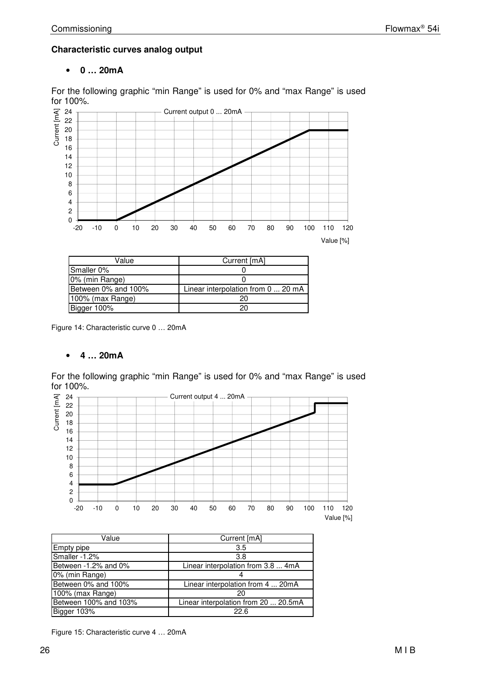## **Characteristic curves analog output**

## • **0 … 20mA**

For the following graphic "min Range" is used for 0% and "max Range" is used for 100%.



| Value               | Current [mA]                       |  |
|---------------------|------------------------------------|--|
| Smaller 0%          |                                    |  |
| 0% (min Range)      |                                    |  |
| Between 0% and 100% | Linear interpolation from 0  20 mA |  |
| 100% (max Range)    | 20                                 |  |
| Bigger 100%         | 20                                 |  |

Figure 14: Characteristic curve 0 … 20mA

#### • **4 … 20mA**

For the following graphic "min Range" is used for 0% and "max Range" is used



| Value                   | Current [mA]                         |
|-------------------------|--------------------------------------|
| Empty pipe              | 3.5                                  |
| Smaller -1.2%           | 3.8                                  |
| Between $-1.2\%$ and 0% | Linear interpolation from 3.8  4mA   |
| 0% (min Range)          |                                      |
| Between 0% and 100%     | Linear interpolation from 4  20mA    |
| 100% (max Range)        | 20                                   |
| Between 100% and 103%   | Linear interpolation from 20  20.5mA |
| Bigger 103%             | 22.6                                 |

Figure 15: Characteristic curve 4 … 20mA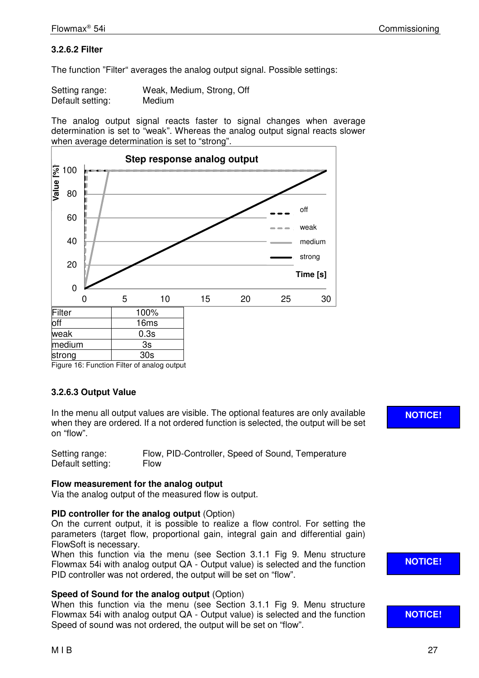# **3.2.6.2 Filter**

The function "Filter" averages the analog output signal. Possible settings:

| Setting range:   | Weak, Medium, Strong, Off |  |
|------------------|---------------------------|--|
| Default setting: | Medium                    |  |

The analog output signal reacts faster to signal changes when average determination is set to "weak". Whereas the analog output signal reacts slower when average determination is set to "strong".



Figure 16: Function Filter of analog output

# **3.2.6.3 Output Value**

In the menu all output values are visible. The optional features are only available when they are ordered. If a not ordered function is selected, the output will be set on "flow".

| Setting range:   | Flow, PID-Controller, Speed of Sound, Temperature |
|------------------|---------------------------------------------------|
| Default setting: | <b>Flow</b>                                       |

#### **Flow measurement for the analog output**

Via the analog output of the measured flow is output.

#### **PID controller for the analog output** (Option)

On the current output, it is possible to realize a flow control. For setting the parameters (target flow, proportional gain, integral gain and differential gain) FlowSoft is necessary.

When this function via the menu (see Section 3.1.1 Fig 9. Menu structure Flowmax 54i with analog output QA - Output value) is selected and the function PID controller was not ordered, the output will be set on "flow".

#### **Speed of Sound for the analog output** (Option)

When this function via the menu (see Section 3.1.1 Fig 9. Menu structure Flowmax 54i with analog output QA - Output value) is selected and the function Speed of sound was not ordered, the output will be set on "flow".

**NOTICE!** 

**NOTICE!** 

**NOTICE!**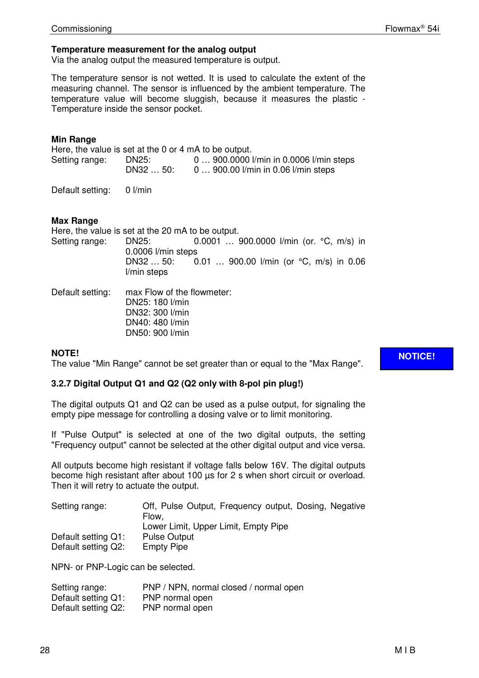#### **Temperature measurement for the analog output**

Via the analog output the measured temperature is output.

The temperature sensor is not wetted. It is used to calculate the extent of the measuring channel. The sensor is influenced by the ambient temperature. The temperature value will become sluggish, because it measures the plastic - Temperature inside the sensor pocket.

#### **Min Range**

Here, the value is set at the 0 or 4 mA to be output. Setting range: DN25: 0 … 900.0000 l/min in 0.0006 l/min steps DN32 … 50: 0 … 900.00 l/min in 0.06 l/min steps

Default setting: 0 l/min

#### **Max Range**

Here, the value is set at the 20 mA to be output. Setting range: DN25: 0.0001 … 900.0000 l/min (or. °C, m/s) in 0.0006 l/min steps DN32 … 50: 0.01 … 900.00 l/min (or °C, m/s) in 0.06 l/min steps

Default setting: max Flow of the flowmeter: DN25: 180 l/min DN32: 300 l/min DN40: 480 l/min DN50: 900 l/min

#### **NOTE!**

The value "Min Range" cannot be set greater than or equal to the "Max Range".

#### **3.2.7 Digital Output Q1 and Q2 (Q2 only with 8-pol pin plug!)**

The digital outputs Q1 and Q2 can be used as a pulse output, for signaling the empty pipe message for controlling a dosing valve or to limit monitoring.

If "Pulse Output" is selected at one of the two digital outputs, the setting "Frequency output" cannot be selected at the other digital output and vice versa.

All outputs become high resistant if voltage falls below 16V. The digital outputs become high resistant after about 100  $\mu$ s for 2 s when short circuit or overload. Then it will retry to actuate the output.

| Setting range:      | Off, Pulse Output, Frequency output, Dosing, Negative |
|---------------------|-------------------------------------------------------|
|                     | Flow.                                                 |
|                     | Lower Limit, Upper Limit, Empty Pipe                  |
| Default setting Q1: | <b>Pulse Output</b>                                   |
| Default setting Q2: | <b>Empty Pipe</b>                                     |

NPN- or PNP-Logic can be selected.

| Setting range:      | PNP / NPN, normal closed / normal open |
|---------------------|----------------------------------------|
| Default setting Q1: | PNP normal open                        |
| Default setting Q2: | PNP normal open                        |

**NOTICE!**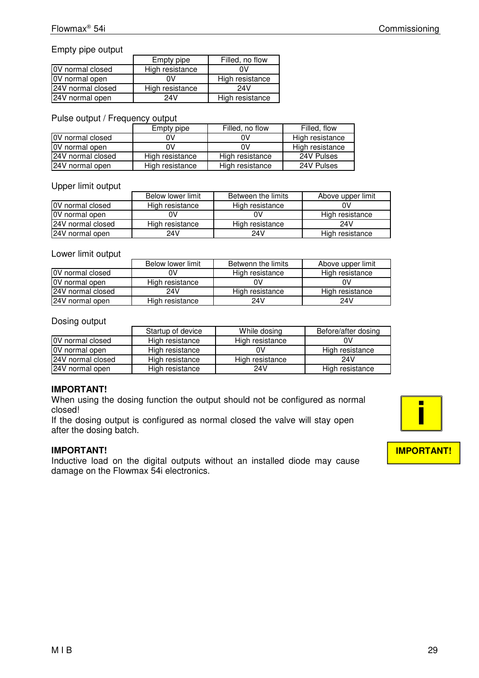#### Empty pipe output

|                         | Empty pipe      | Filled, no flow |
|-------------------------|-----------------|-----------------|
| <b>OV</b> normal closed | High resistance | n۷              |
| <b>OV</b> normal open   |                 | High resistance |
| 24V normal closed       | High resistance | 24V             |
| 24V normal open         | 24V             | High resistance |

#### Pulse output / Frequency output

|                         | Empty pipe      | Filled, no flow | Filled, flow    |
|-------------------------|-----------------|-----------------|-----------------|
| <b>OV</b> normal closed |                 | 0V              | High resistance |
| <b>OV</b> normal open   | ŋ۷              | 0V              | High resistance |
| 124V normal closed      | High resistance | High resistance | 24V Pulses      |
| 24V normal open         | High resistance | High resistance | 24V Pulses      |

#### Upper limit output **Upper** limit output

|                         | Below lower limit | Between the limits | Above upper limit |
|-------------------------|-------------------|--------------------|-------------------|
| <b>OV</b> normal closed | High resistance   | High resistance    |                   |
| <b>OV</b> normal open   |                   |                    | High resistance   |
| 24V normal closed       | High resistance   | High resistance    | 24V               |
| 24V normal open         | 24V               | 24V                | High resistance   |

#### Lower limit output

|                         | Below lower limit | Betwenn the limits | Above upper limit |
|-------------------------|-------------------|--------------------|-------------------|
| <b>OV</b> normal closed | Ω٧                | High resistance    | High resistance   |
| OV normal open          | High resistance   |                    |                   |
| 24V normal closed       | 24V               | High resistance    | High resistance   |
| 24V normal open         | High resistance   | 24V                | 24V               |

#### Dosing output

|                         | Startup of device | While dosing    | Before/after dosing |
|-------------------------|-------------------|-----------------|---------------------|
| <b>OV</b> normal closed | High resistance   | High resistance |                     |
| <b>OV</b> normal open   | High resistance   | 0V              | High resistance     |
| 124V normal closed      | High resistance   | High resistance | 24V                 |
| 24V normal open         | High resistance   | 24 V            | High resistance     |

#### **IMPORTANT!**

When using the dosing function the output should not be configured as normal closed!

If the dosing output is configured as normal closed the valve will stay open after the dosing batch.

#### **IMPORTANT!**

Inductive load on the digital outputs without an installed diode may cause damage on the Flowmax 54i electronics.

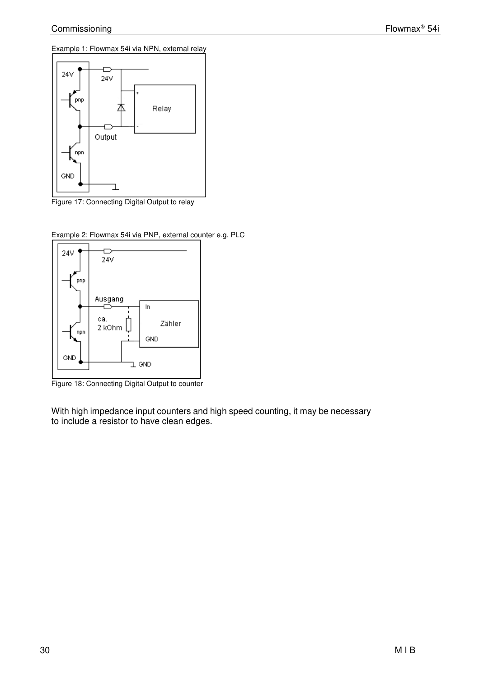Example 1: Flowmax 54i via NPN, external relay



Figure 17: Connecting Digital Output to relay



Example 2: Flowmax 54i via PNP, external counter e.g. PLC

Figure 18: Connecting Digital Output to counter

With high impedance input counters and high speed counting, it may be necessary to include a resistor to have clean edges.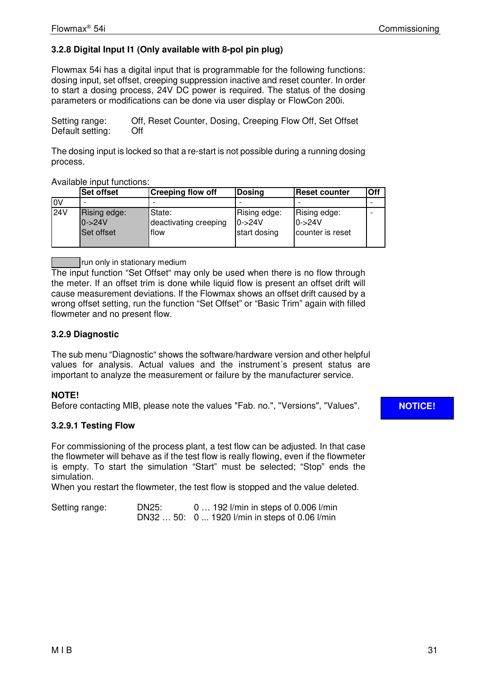# **3.2.8 Digital Input I1 (Only available with 8-pol pin plug)**

Flowmax 54i has a digital input that is programmable for the following functions: dosing input, set offset, creeping suppression inactive and reset counter. In order to start a dosing process, 24V DC power is required. The status of the dosing parameters or modifications can be done via user display or FlowCon 200i.

Setting range: Off, Reset Counter, Dosing, Creeping Flow Off, Set Offset Default setting: Off

The dosing input is locked so that a re-start is not possible during a running dosing process.

Available input functions:

|              | <b>Set offset</b>                              | <b>Creeping flow off</b>                | Dosing                                     | <b>Reset counter</b>                          | Off |
|--------------|------------------------------------------------|-----------------------------------------|--------------------------------------------|-----------------------------------------------|-----|
| <b>IOV</b>   |                                                |                                         |                                            |                                               |     |
| $\sqrt{24V}$ | Rising edge:<br>$0 - 24V$<br><b>Set offset</b> | State:<br>deactivating creeping<br>flow | Rising edge:<br>$10 - 24V$<br>start dosing | Rising edge:<br>$0 - 24V$<br>counter is reset |     |

run only in stationary medium

The input function "Set Offset" may only be used when there is no flow through the meter. If an offset trim is done while liquid flow is present an offset drift will cause measurement deviations. If the Flowmax shows an offset drift caused by a wrong offset setting, run the function "Set Offset" or "Basic Trim" again with filled flowmeter and no present flow.

#### **3.2.9 Diagnostic**

The sub menu "Diagnostic" shows the software/hardware version and other helpful values for analysis. Actual values and the instrument´s present status are important to analyze the measurement or failure by the manufacturer service.

# **NOTE!**

Before contacting MIB, please note the values "Fab. no.", "Versions", "Values".

#### **3.2.9.1 Testing Flow**

For commissioning of the process plant, a test flow can be adjusted. In that case the flowmeter will behave as if the test flow is really flowing, even if the flowmeter is empty. To start the simulation "Start" must be selected; "Stop" ends the simulation.

When you restart the flowmeter, the test flow is stopped and the value deleted.

| Setting range: | DN25: | $0$ 192 l/min in steps of 0.006 l/min          |
|----------------|-------|------------------------------------------------|
|                |       | DN32  50: 0  1920 l/min in steps of 0.06 l/min |

# **NOTICE!**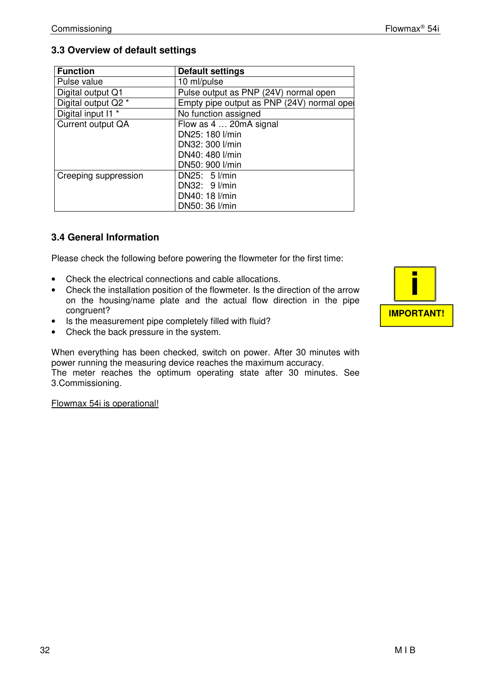# **3.3 Overview of default settings**

| <b>Function</b>      | <b>Default settings</b>                    |
|----------------------|--------------------------------------------|
| Pulse value          | 10 ml/pulse                                |
| Digital output Q1    | Pulse output as PNP (24V) normal open      |
| Digital output Q2 *  | Empty pipe output as PNP (24V) normal opel |
| Digital input I1 *   | No function assigned                       |
| Current output QA    | Flow as 4  20mA signal                     |
|                      | DN25: 180 l/min                            |
|                      | DN32: 300 l/min                            |
|                      | DN40: 480 l/min                            |
|                      | DN50: 900 l/min                            |
| Creeping suppression | DN25: $5$ $l/min$                          |
|                      | DN32: 9 l/min                              |
|                      | DN40: 18 l/min                             |
|                      | DN50: 36 l/min                             |

# **3.4 General Information**

Please check the following before powering the flowmeter for the first time:

- Check the electrical connections and cable allocations.
- Check the installation position of the flowmeter. Is the direction of the arrow on the housing/name plate and the actual flow direction in the pipe congruent?
- Is the measurement pipe completely filled with fluid?
- Check the back pressure in the system.

When everything has been checked, switch on power. After 30 minutes with power running the measuring device reaches the maximum accuracy. The meter reaches the optimum operating state after 30 minutes. See 3.Commissioning.

Flowmax 54i is operational!

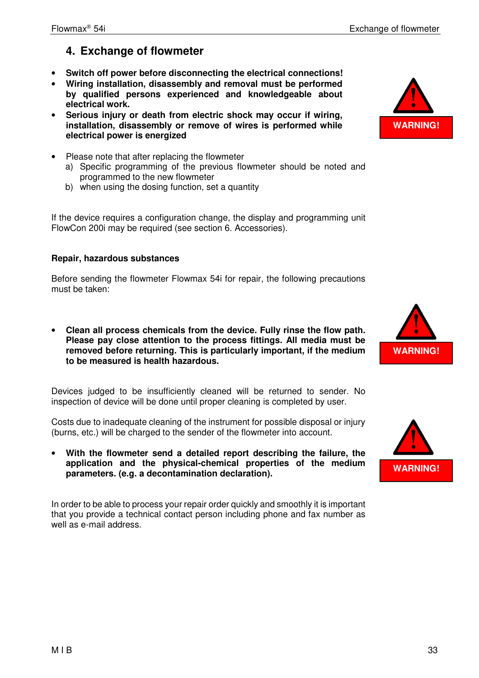# **4. Exchange of flowmeter**

- **Switch off power before disconnecting the electrical connections!**
- **Wiring installation, disassembly and removal must be performed by qualified persons experienced and knowledgeable about electrical work.**
- **Serious injury or death from electric shock may occur if wiring, installation, disassembly or remove of wires is performed while electrical power is energized**
- Please note that after replacing the flowmeter
	- a) Specific programming of the previous flowmeter should be noted and programmed to the new flowmeter
	- b) when using the dosing function, set a quantity

If the device requires a configuration change, the display and programming unit FlowCon 200i may be required (see section 6. Accessories).

# **Repair, hazardous substances**

Before sending the flowmeter Flowmax 54i for repair, the following precautions must be taken:

• **Clean all process chemicals from the device. Fully rinse the flow path. Please pay close attention to the process fittings. All media must be removed before returning. This is particularly important, if the medium to be measured is health hazardous.** 

Devices judged to be insufficiently cleaned will be returned to sender. No inspection of device will be done until proper cleaning is completed by user.

Costs due to inadequate cleaning of the instrument for possible disposal or injury (burns, etc.) will be charged to the sender of the flowmeter into account.

• **With the flowmeter send a detailed report describing the failure, the application and the physical-chemical properties of the medium parameters. (e.g. a decontamination declaration).** 

In order to be able to process your repair order quickly and smoothly it is important that you provide a technical contact person including phone and fax number as well as e-mail address.





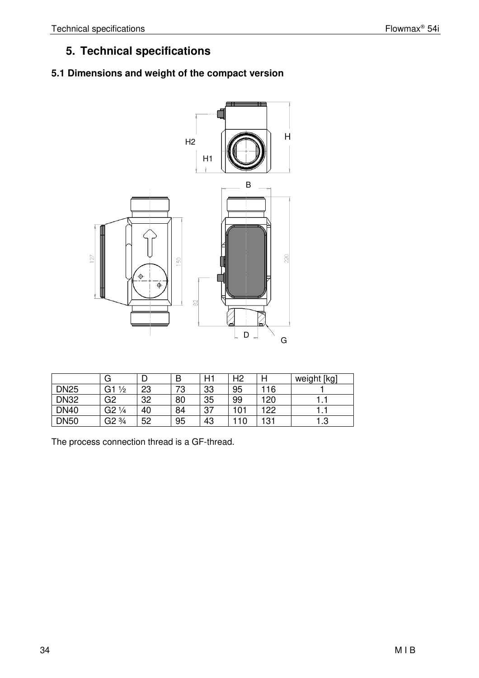# **5. Technical specifications**

# **5.1 Dimensions and weight of the compact version**



|             | G                   |    | B  | H1 | H <sub>2</sub> | H   | weight [kg] |
|-------------|---------------------|----|----|----|----------------|-----|-------------|
| <b>DN25</b> | G1<br>$\frac{1}{2}$ | 23 | 73 | 33 | 95             | 116 |             |
| <b>DN32</b> | G2                  | 32 | 80 | 35 | 99             | 120 |             |
| <b>DN40</b> | $G2\frac{1}{4}$     | 40 | 84 | 37 | 101            | 122 |             |
| <b>DN50</b> | $\frac{3}{4}$<br>G2 | 52 | 95 | 43 | 10             | 131 | 1.3         |

The process connection thread is a GF-thread.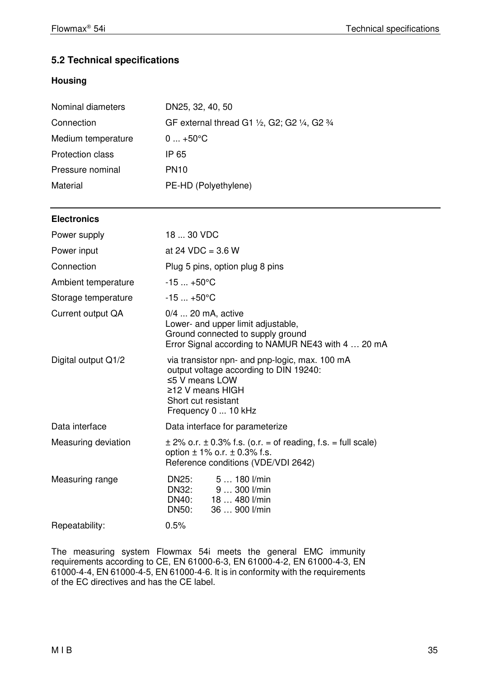# **5.2 Technical specifications**

# **Housing**

| Nominal diameters       | DN25, 32, 40, 50                              |
|-------------------------|-----------------------------------------------|
| Connection              | GF external thread G1 1/2, G2; G2 1/4, G2 3/4 |
| Medium temperature      | $0+50°C$                                      |
| <b>Protection class</b> | IP 65                                         |
| Pressure nominal        | <b>PN10</b>                                   |
| Material                | PE-HD (Polyethylene)                          |

# **Electronics**

| Power supply        | 18  30 VDC                                                                                                                                                                               |
|---------------------|------------------------------------------------------------------------------------------------------------------------------------------------------------------------------------------|
| Power input         | at 24 VDC = $3.6 W$                                                                                                                                                                      |
| Connection          | Plug 5 pins, option plug 8 pins                                                                                                                                                          |
| Ambient temperature | $-15+50$ °C                                                                                                                                                                              |
| Storage temperature | $-15+50$ °C                                                                                                                                                                              |
| Current output QA   | 0/4  20 mA, active<br>Lower- and upper limit adjustable,<br>Ground connected to supply ground<br>Error Signal according to NAMUR NE43 with 4  20 mA                                      |
| Digital output Q1/2 | via transistor npn- and pnp-logic, max. 100 mA<br>output voltage according to DIN 19240:<br>$\leq$ 5 V means LOW<br>$\geq$ 12 V means HIGH<br>Short cut resistant<br>Frequency 0  10 kHz |
| Data interface      | Data interface for parameterize                                                                                                                                                          |
| Measuring deviation | $\pm$ 2% o.r. $\pm$ 0.3% f.s. (o.r. = of reading, f.s. = full scale)<br>option $\pm$ 1% o.r. $\pm$ 0.3% f.s.<br>Reference conditions (VDE/VDI 2642)                                      |
| Measuring range     | 5  180 l/min<br>DN25:<br><b>DN32:</b><br>9  300 l/min<br>DN40: 18  480 l/min<br>DN50:<br>36  900 l/min                                                                                   |
| Repeatability:      | 0.5%                                                                                                                                                                                     |

The measuring system Flowmax 54i meets the general EMC immunity requirements according to CE, EN 61000-6-3, EN 61000-4-2, EN 61000-4-3, EN 61000-4-4, EN 61000-4-5, EN 61000-4-6. It is in conformity with the requirements of the EC directives and has the CE label.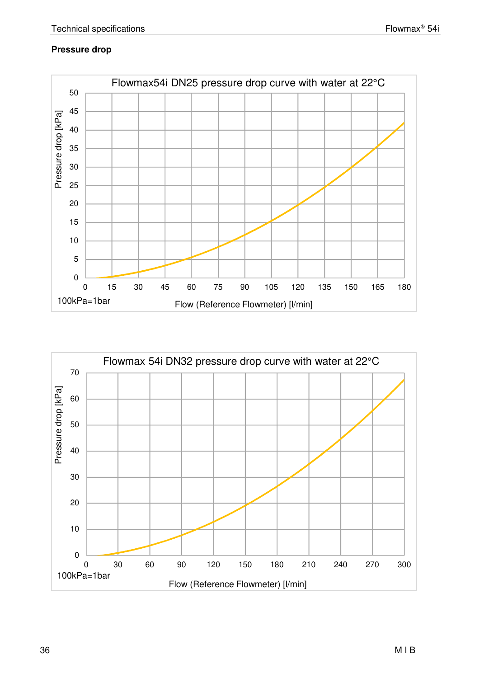# **Pressure drop**



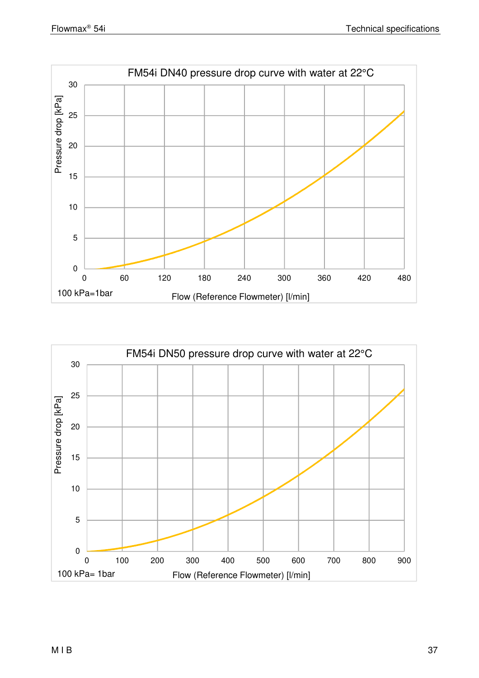

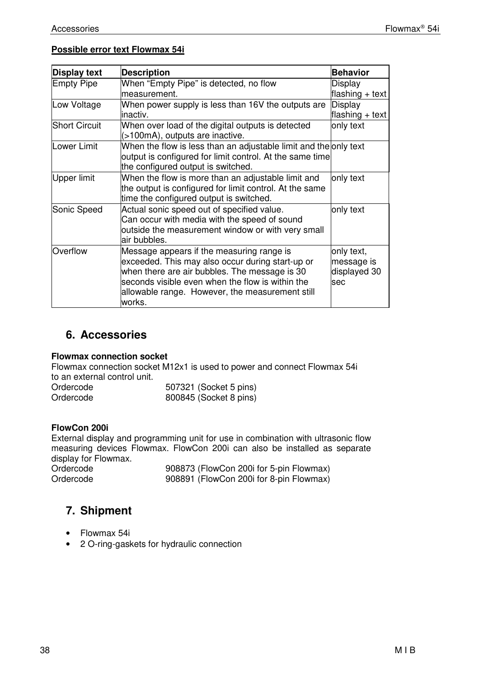#### **Possible error text Flowmax 54i**

| <b>Display text</b>  | <b>Description</b>                                                                                                                                                                                                                                              | <b>Behavior</b>                                        |
|----------------------|-----------------------------------------------------------------------------------------------------------------------------------------------------------------------------------------------------------------------------------------------------------------|--------------------------------------------------------|
| <b>Empty Pipe</b>    | When "Empty Pipe" is detected, no flow                                                                                                                                                                                                                          | Display                                                |
|                      | measurement.                                                                                                                                                                                                                                                    | flashing $+$ text                                      |
| Low Voltage          | When power supply is less than 16V the outputs are                                                                                                                                                                                                              | Display                                                |
|                      | inactiv.                                                                                                                                                                                                                                                        | flashing $+$ text                                      |
| <b>Short Circuit</b> | When over load of the digital outputs is detected<br>(>100mA), outputs are inactive.                                                                                                                                                                            | only text                                              |
| Lower Limit          | When the flow is less than an adjustable limit and the only text<br>output is configured for limit control. At the same time<br>the configured output is switched.                                                                                              |                                                        |
| Upper limit          | When the flow is more than an adjustable limit and<br>the output is configured for limit control. At the same<br>time the configured output is switched.                                                                                                        | only text                                              |
| Sonic Speed          | Actual sonic speed out of specified value.<br>Can occur with media with the speed of sound<br>outside the measurement window or with very small<br>air bubbles.                                                                                                 | only text                                              |
| Overflow             | Message appears if the measuring range is<br>exceeded. This may also occur during start-up or<br>when there are air bubbles. The message is 30<br>seconds visible even when the flow is within the<br>allowable range. However, the measurement still<br>works. | only text,<br>message is<br>displayed 30<br><b>sec</b> |

# **6. Accessories**

#### **Flowmax connection socket**

Flowmax connection socket M12x1 is used to power and connect Flowmax 54i to an external control unit.

| Ordercode | 507321 (Socket 5 pins) |
|-----------|------------------------|
| Ordercode | 800845 (Socket 8 pins) |

#### **FlowCon 200i**

External display and programming unit for use in combination with ultrasonic flow measuring devices Flowmax. FlowCon 200i can also be installed as separate display for Flowmax.

Ordercode 908873 (FlowCon 200i for 5-pin Flowmax)<br>Ordercode 908891 (FlowCon 200i for 8-pin Flowmax) 908891 (FlowCon 200i for 8-pin Flowmax)

# **7. Shipment**

- Flowmax 54i
- 2 O-ring-gaskets for hydraulic connection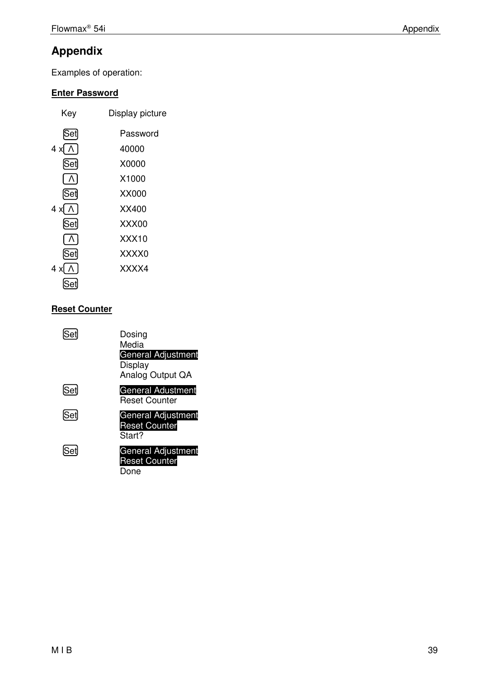# **Appendix**

Examples of operation:

# **Enter Password**

| Key                       | Display picture |
|---------------------------|-----------------|
| [Set]                     | Password        |
| 4 x[ ∧ ]                  | 40000           |
| Set                       | X0000           |
| $\Lambda$                 | X1000           |
| ∫Set                      | XX000           |
| 4 x[ ∧ ]                  | XX400           |
| [Set]                     | XXX00           |
| $\lfloor \Lambda \rfloor$ | XXX10           |
| [Set]                     | XXXX0           |
| 4 x[ ∧ ]                  | XXXX4           |
|                           |                 |

# **Reset Counter**

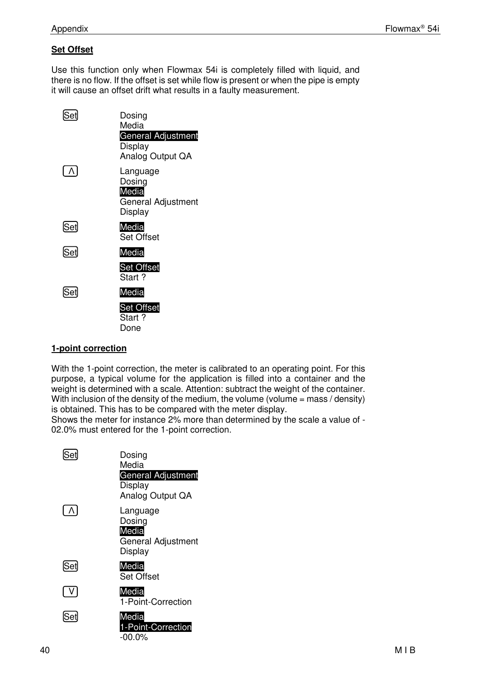# **Set Offset**

Use this function only when Flowmax 54i is completely filled with liquid, and there is no flow. If the offset is set while flow is present or when the pipe is empty it will cause an offset drift what results in a faulty measurement.

| ÍSet  | Dosing<br>Media<br>General Adjustment<br>Display<br>Analog Output QA |
|-------|----------------------------------------------------------------------|
|       | Language<br>Dosing<br>Media<br>General Adjustment<br>Display         |
| [Set] | Media<br>Set Offset                                                  |
| [Set] | Media                                                                |
|       | <b>Set Offset</b><br>Start?                                          |
| [Set] | Media                                                                |
|       | <b>Set Offset</b><br>Start?<br>Done                                  |

# **1-point correction**

With the 1-point correction, the meter is calibrated to an operating point. For this purpose, a typical volume for the application is filled into a container and the weight is determined with a scale. Attention: subtract the weight of the container. With inclusion of the density of the medium, the volume (volume = mass / density) is obtained. This has to be compared with the meter display.

Shows the meter for instance 2% more than determined by the scale a value of - 02.0% must entered for the 1-point correction.

|                           | Dosing<br>Media<br>General Adjustment<br>Display<br>Analog Output QA |
|---------------------------|----------------------------------------------------------------------|
| $\lfloor \Lambda \rfloor$ | Language<br>Dosing<br>Media<br>General Adjustment<br>Display         |
| <u>Set</u>                | Media<br><b>Set Offset</b>                                           |
| V                         | Media<br>1-Point-Correction                                          |
| ÍSetJ                     | Media<br>1-Point-Correction<br>-00.0%                                |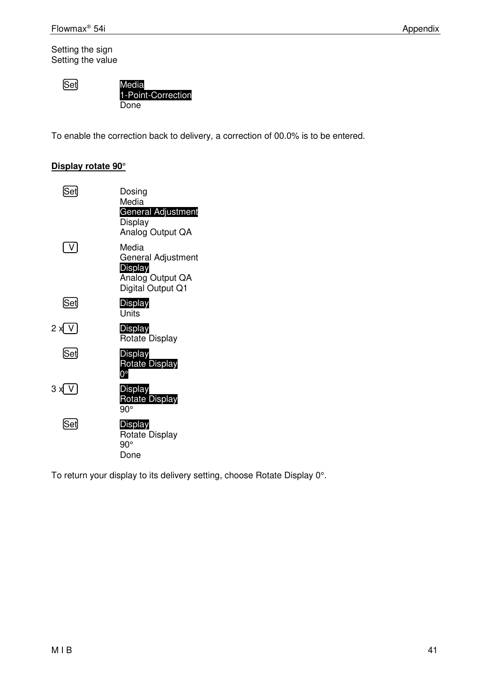Setting the sign Setting the value

**Set** 

Set Media 1-Point-Correction Done

To enable the correction back to delivery, a correction of 00.0% is to be entered.

# **Display rotate 90°**

| Set      | Dosing<br>Media<br>General Adjustment<br>Display                                |
|----------|---------------------------------------------------------------------------------|
|          | Analog Output QA                                                                |
| $\vee$   | Media<br>General Adjustment<br>Display<br>Analog Output QA<br>Digital Output Q1 |
| [Set]    | Display<br>Units                                                                |
| 2 x[ V ] | Display<br>Rotate Display                                                       |
| [Set]    | <b>Display</b><br><b>Rotate Display</b><br>ŋ۰                                   |
| 3 x V    | Display<br><b>Rotate Display</b><br>90°                                         |
| [Set]    | Display<br><b>Rotate Display</b><br>$90^{\circ}$<br>Done                        |

To return your display to its delivery setting, choose Rotate Display 0°.